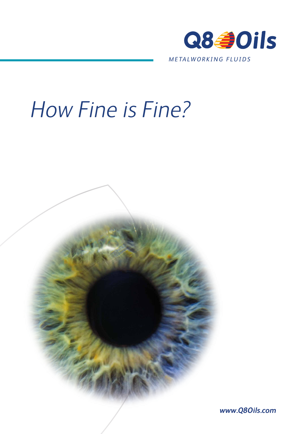

# How Fine is Fine?



*www.Q8Oils.com*